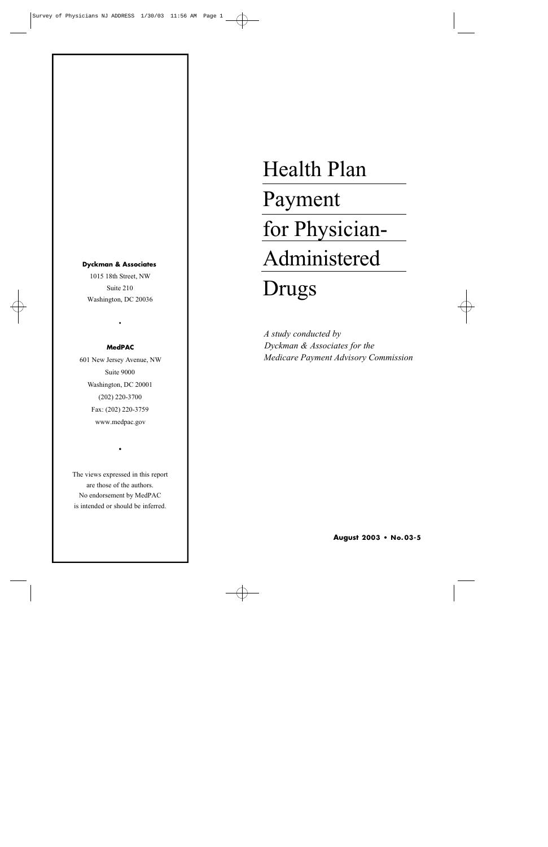#### **Dyckman & Associates**

1015 18th Street, NW Suite 210 Washington, DC 20036

#### **MedPAC**

•

601 New Jersey Avenue, NW Suite 9000 Washington, DC 20001 (202) 220-3700 Fax: (202) 220-3759 www.medpac.gov

The views expressed in this report are those of the authors. No endorsement by MedPAC is intended or should be inferred.

•

# Health Plan Payment for Physician-Administered Drugs

 *A study conducted by Dyckman & Associates for the Medicare Payment Advisory Commission*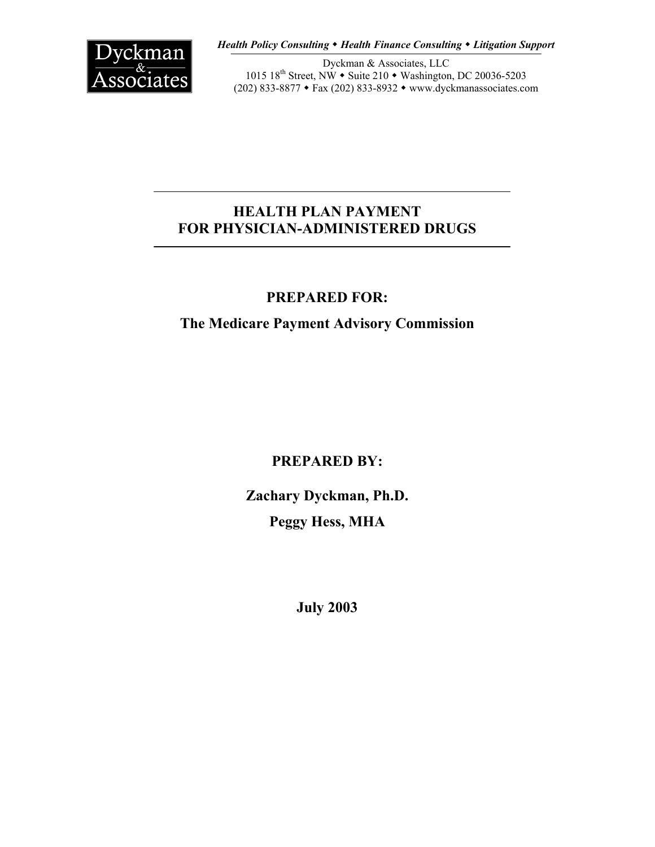

*Health Policy Consulting Health Finance Consulting Litigation Support*

Dyckman & Associates, LLC 1015 18<sup>th</sup> Street, NW • Suite 210 • Washington, DC 20036-5203 (202) 833-8877 Fax (202) 833-8932 www.dyckmanassociates.com

## **HEALTH PLAN PAYMENT FOR PHYSICIAN-ADMINISTERED DRUGS**

## **PREPARED FOR:**

## **The Medicare Payment Advisory Commission**

**PREPARED BY:** 

**Zachary Dyckman, Ph.D. Peggy Hess, MHA**

**July 2003**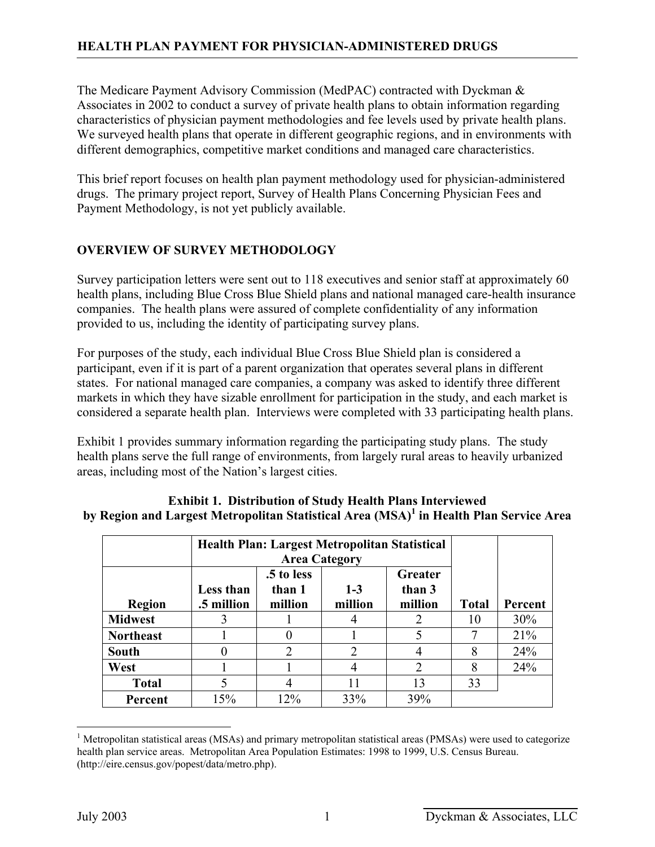The Medicare Payment Advisory Commission (MedPAC) contracted with Dyckman & Associates in 2002 to conduct a survey of private health plans to obtain information regarding characteristics of physician payment methodologies and fee levels used by private health plans. We surveyed health plans that operate in different geographic regions, and in environments with different demographics, competitive market conditions and managed care characteristics.

This brief report focuses on health plan payment methodology used for physician-administered drugs. The primary project report, Survey of Health Plans Concerning Physician Fees and Payment Methodology, is not yet publicly available.

#### **OVERVIEW OF SURVEY METHODOLOGY**

Survey participation letters were sent out to 118 executives and senior staff at approximately 60 health plans, including Blue Cross Blue Shield plans and national managed care-health insurance companies. The health plans were assured of complete confidentiality of any information provided to us, including the identity of participating survey plans.

For purposes of the study, each individual Blue Cross Blue Shield plan is considered a participant, even if it is part of a parent organization that operates several plans in different states. For national managed care companies, a company was asked to identify three different markets in which they have sizable enrollment for participation in the study, and each market is considered a separate health plan. Interviews were completed with 33 participating health plans.

Exhibit 1 provides summary information regarding the participating study plans. The study health plans serve the full range of environments, from largely rural areas to heavily urbanized areas, including most of the Nation's largest cities.

|                  | <b>Health Plan: Largest Metropolitan Statistical</b> |                                 |                  |                              |              |         |
|------------------|------------------------------------------------------|---------------------------------|------------------|------------------------------|--------------|---------|
| Region           | Less than<br>.5 million                              | .5 to less<br>than 1<br>million | $1-3$<br>million | Greater<br>than 3<br>million | <b>Total</b> | Percent |
| <b>Midwest</b>   |                                                      |                                 |                  | 2                            | 10           | 30%     |
| <b>Northeast</b> |                                                      |                                 |                  |                              |              | 21%     |
| <b>South</b>     |                                                      | C                               | 2                |                              | 8            | 24%     |
| West             |                                                      |                                 |                  | $\overline{2}$               | 8            | 24%     |
| <b>Total</b>     |                                                      |                                 |                  | 13                           | 33           |         |
| Percent          | 15%                                                  | 12%                             | 33%              | 39%                          |              |         |

#### **Exhibit 1. Distribution of Study Health Plans Interviewed by Region and Largest Metropolitan Statistical Area (MSA)[1](#page-2-0) in Health Plan Service Area**

<span id="page-2-0"></span> $\overline{a}$ <sup>1</sup> Metropolitan statistical areas (MSAs) and primary metropolitan statistical areas (PMSAs) were used to categorize health plan service areas. Metropolitan Area Population Estimates: [1998 to](http://eire.census.gov/popest/archives/metro/ma99-02.txt) 1999, U.S. Census Bureau. (http://eire.census.gov/popest/data/metro.php).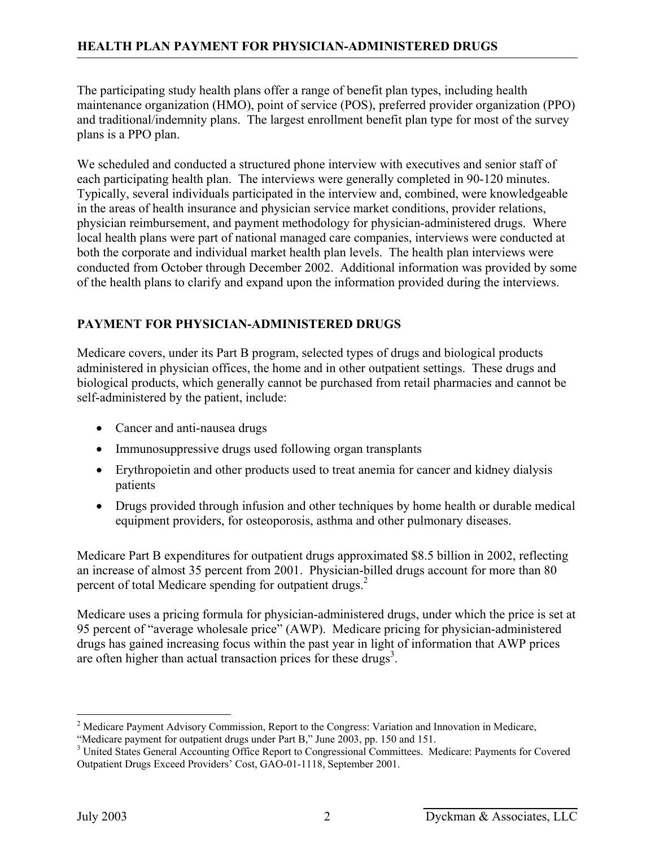The participating study health plans offer a range of benefit plan types, including health maintenance organization (HMO), point of service (POS), preferred provider organization (PPO) and traditional/indemnity plans. The largest enrollment benefit plan type for most of the survey plans is a PPO plan.

We scheduled and conducted a structured phone interview with executives and senior staff of each participating health plan. The interviews were generally completed in 90-120 minutes. Typically, several individuals participated in the interview and, combined, were knowledgeable in the areas of health insurance and physician service market conditions, provider relations, physician reimbursement, and payment methodology for physician-administered drugs. Where local health plans were part of national managed care companies, interviews were conducted at both the corporate and individual market health plan levels. The health plan interviews were conducted from October through December 2002. Additional information was provided by some of the health plans to clarify and expand upon the information provided during the interviews.

#### **PAYMENT FOR PHYSICIAN-ADMINISTERED DRUGS**

Medicare covers, under its Part B program, selected types of drugs and biological products administered in physician offices, the home and in other outpatient settings. These drugs and biological products, which generally cannot be purchased from retail pharmacies and cannot be self-administered by the patient, include:

- Cancer and anti-nausea drugs
- Immunosuppressive drugs used following organ transplants
- Erythropoietin and other products used to treat anemia for cancer and kidney dialysis patients
- Drugs provided through infusion and other techniques by home health or durable medical equipment providers, for osteoporosis, asthma and other pulmonary diseases.

Medicare Part B expenditures for outpatient drugs approximated \$8.5 billion in 2002, reflecting an increase of almost 35 percent from 2001. Physician-billed drugs account for more than 80 percent of total Medicare spending for outpatient drugs.<sup>2</sup>

Medicare uses a pricing formula for physician-administered drugs, under which the price is set at 95 percent of "average wholesale price" (AWP). Medicare pricing for physician-administered drugs has gained increasing focus within the past year in light of information that AWP prices are often higher than actual transaction prices for these drugs<sup>[3](#page-3-1)</sup>.

 $\overline{a}$ 

<span id="page-3-0"></span><sup>&</sup>lt;sup>2</sup> Medicare Payment Advisory Commission, Report to the Congress: Variation and Innovation in Medicare,

<sup>&</sup>quot;Medicare payment for outpatient drugs under Part B," June 2003, pp. 150 and 151.

<span id="page-3-1"></span><sup>&</sup>lt;sup>3</sup> United States General Accounting Office Report to Congressional Committees. Medicare: Payments for Covered Outpatient Drugs Exceed Providers' Cost, GAO-01-1118, September 2001.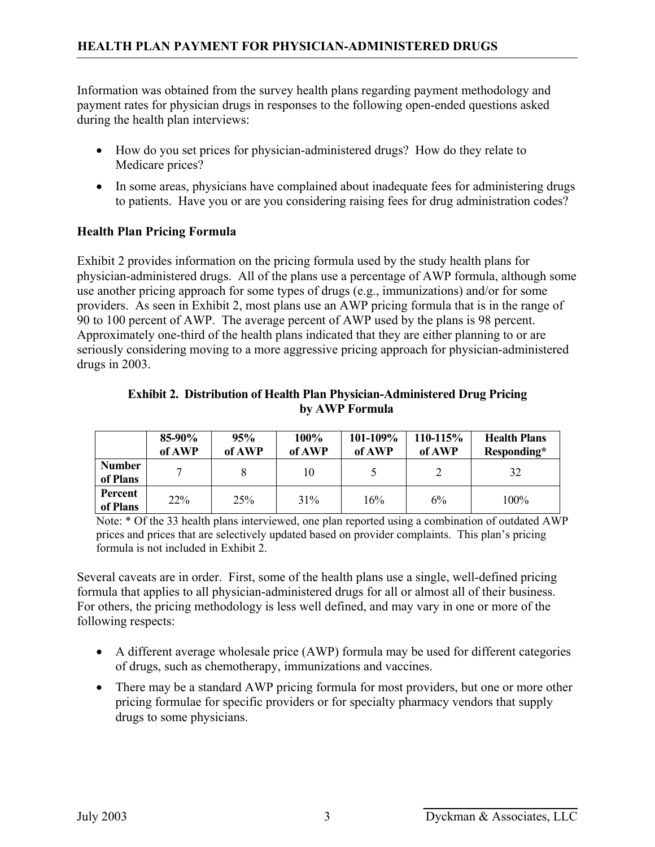Information was obtained from the survey health plans regarding payment methodology and payment rates for physician drugs in responses to the following open-ended questions asked during the health plan interviews:

- How do you set prices for physician-administered drugs? How do they relate to Medicare prices?
- In some areas, physicians have complained about inadequate fees for administering drugs to patients. Have you or are you considering raising fees for drug administration codes?

#### **Health Plan Pricing Formula**

Exhibit 2 provides information on the pricing formula used by the study health plans for physician-administered drugs. All of the plans use a percentage of AWP formula, although some use another pricing approach for some types of drugs (e.g., immunizations) and/or for some providers. As seen in Exhibit 2, most plans use an AWP pricing formula that is in the range of 90 to 100 percent of AWP. The average percent of AWP used by the plans is 98 percent. Approximately one-third of the health plans indicated that they are either planning to or are seriously considering moving to a more aggressive pricing approach for physician-administered drugs in 2003.

| <b>Exhibit 2. Distribution of Health Plan Physician-Administered Drug Pricing</b> |
|-----------------------------------------------------------------------------------|
| by AWP Formula                                                                    |

|                           | 85-90%<br>of AWP | 95%<br>of AWP | 100%<br>of AWP | 101-109%<br>of AWP | 110-115%<br>of AWP | <b>Health Plans</b><br>Responding* |
|---------------------------|------------------|---------------|----------------|--------------------|--------------------|------------------------------------|
| <b>Number</b><br>of Plans |                  |               | 10             |                    |                    | 32                                 |
| Percent<br>of Plans       | 22%              | 25%           | 31%            | 16%                | 6%                 | 100%                               |

Note: \* Of the 33 health plans interviewed, one plan reported using a combination of outdated AWP prices and prices that are selectively updated based on provider complaints. This plan's pricing formula is not included in Exhibit 2.

Several caveats are in order. First, some of the health plans use a single, well-defined pricing formula that applies to all physician-administered drugs for all or almost all of their business. For others, the pricing methodology is less well defined, and may vary in one or more of the following respects:

- A different average wholesale price (AWP) formula may be used for different categories of drugs, such as chemotherapy, immunizations and vaccines.
- There may be a standard AWP pricing formula for most providers, but one or more other pricing formulae for specific providers or for specialty pharmacy vendors that supply drugs to some physicians.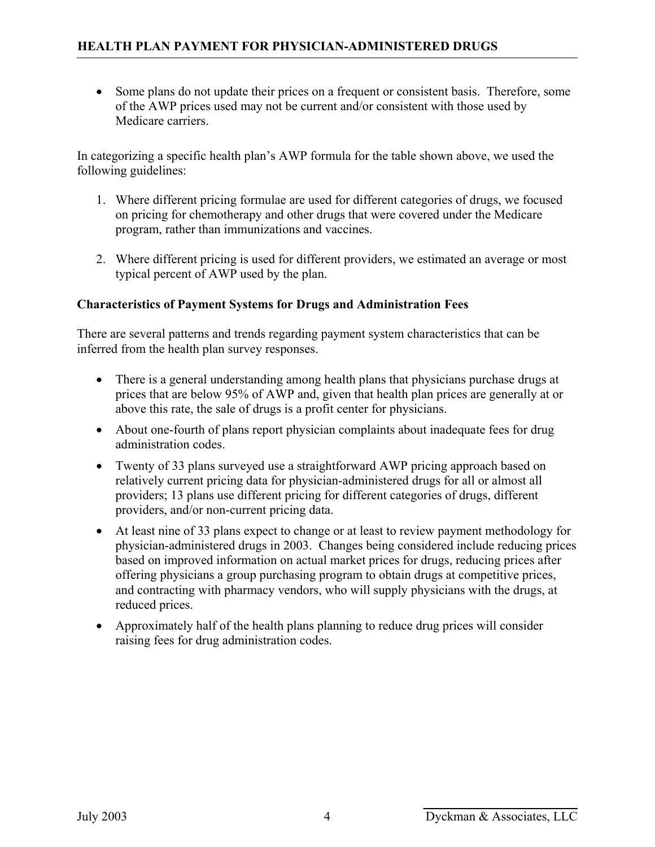• Some plans do not update their prices on a frequent or consistent basis. Therefore, some of the AWP prices used may not be current and/or consistent with those used by Medicare carriers.

In categorizing a specific health plan's AWP formula for the table shown above, we used the following guidelines:

- 1. Where different pricing formulae are used for different categories of drugs, we focused on pricing for chemotherapy and other drugs that were covered under the Medicare program, rather than immunizations and vaccines.
- 2. Where different pricing is used for different providers, we estimated an average or most typical percent of AWP used by the plan.

#### **Characteristics of Payment Systems for Drugs and Administration Fees**

There are several patterns and trends regarding payment system characteristics that can be inferred from the health plan survey responses.

- There is a general understanding among health plans that physicians purchase drugs at prices that are below 95% of AWP and, given that health plan prices are generally at or above this rate, the sale of drugs is a profit center for physicians.
- About one-fourth of plans report physician complaints about inadequate fees for drug administration codes.
- Twenty of 33 plans surveyed use a straightforward AWP pricing approach based on relatively current pricing data for physician-administered drugs for all or almost all providers; 13 plans use different pricing for different categories of drugs, different providers, and/or non-current pricing data.
- At least nine of 33 plans expect to change or at least to review payment methodology for physician-administered drugs in 2003. Changes being considered include reducing prices based on improved information on actual market prices for drugs, reducing prices after offering physicians a group purchasing program to obtain drugs at competitive prices, and contracting with pharmacy vendors, who will supply physicians with the drugs, at reduced prices.
- Approximately half of the health plans planning to reduce drug prices will consider raising fees for drug administration codes.